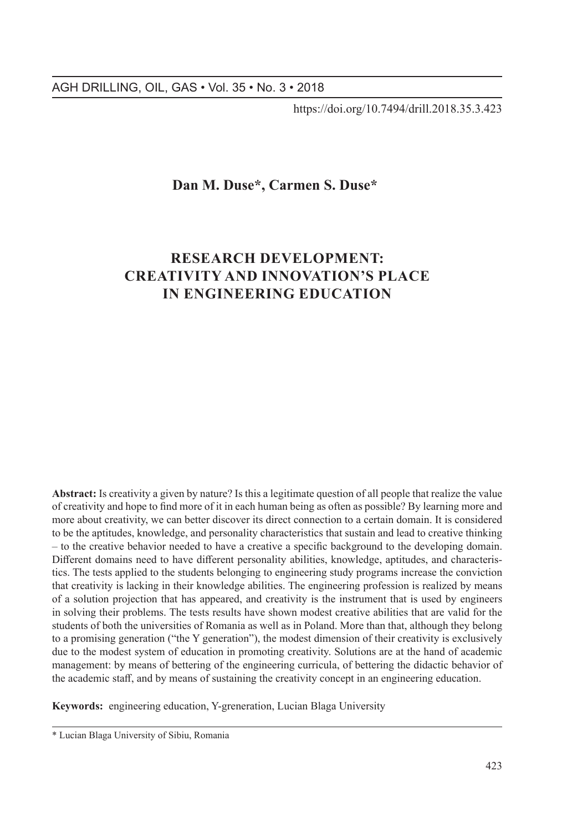https://doi.org/10.7494/drill.2018.35.3.423

## **Dan M. Duse\*, Carmen S. Duse\***

# **RESEARCH DEVELOPMENT: CREATIVITY AND INNOVATION'S PLACE IN ENGINEERING EDUCATION**

**Abstract:** Is creativity a given by nature? Is this a legitimate question of all people that realize the value of creativity and hope to find more of it in each human being as often as possible? By learning more and more about creativity, we can better discover its direct connection to a certain domain. It is considered to be the aptitudes, knowledge, and personality characteristics that sustain and lead to creative thinking – to the creative behavior needed to have a creative a specific background to the developing domain. Different domains need to have different personality abilities, knowledge, aptitudes, and characteristics. The tests applied to the students belonging to engineering study programs increase the conviction that creativity is lacking in their knowledge abilities. The engineering profession is realized by means of a solution projection that has appeared, and creativity is the instrument that is used by engineers in solving their problems. The tests results have shown modest creative abilities that are valid for the students of both the universities of Romania as well as in Poland. More than that, although they belong to a promising generation ("the Y generation"), the modest dimension of their creativity is exclusively due to the modest system of education in promoting creativity. Solutions are at the hand of academic management: by means of bettering of the engineering curricula, of bettering the didactic behavior of the academic staff, and by means of sustaining the creativity concept in an engineering education.

**Keywords:** engineering education, Y-greneration, Lucian Blaga University

<sup>\*</sup> Lucian Blaga University of Sibiu, Romania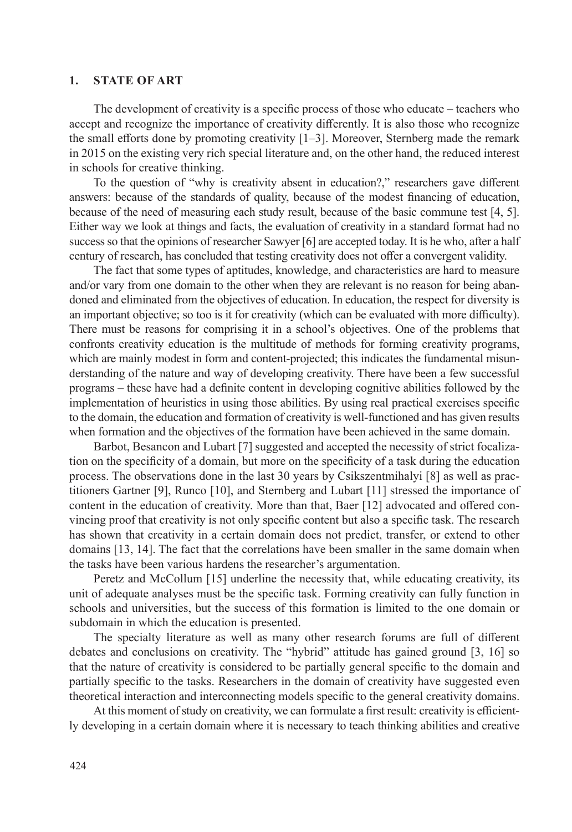#### **1. STATE OF ART**

The development of creativity is a specific process of those who educate – teachers who accept and recognize the importance of creativity differently. It is also those who recognize the small efforts done by promoting creativity [1–3]. Moreover, Sternberg made the remark in 2015 on the existing very rich special literature and, on the other hand, the reduced interest in schools for creative thinking.

To the question of "why is creativity absent in education?," researchers gave different answers: because of the standards of quality, because of the modest financing of education, because of the need of measuring each study result, because of the basic commune test [4, 5]. Either way we look at things and facts, the evaluation of creativity in a standard format had no success so that the opinions of researcher Sawyer [6] are accepted today. It is he who, after a half century of research, has concluded that testing creativity does not offer a convergent validity.

The fact that some types of aptitudes, knowledge, and characteristics are hard to measure and/or vary from one domain to the other when they are relevant is no reason for being abandoned and eliminated from the objectives of education. In education, the respect for diversity is an important objective; so too is it for creativity (which can be evaluated with more difficulty). There must be reasons for comprising it in a school's objectives. One of the problems that confronts creativity education is the multitude of methods for forming creativity programs, which are mainly modest in form and content-projected; this indicates the fundamental misunderstanding of the nature and way of developing creativity. There have been a few successful programs – these have had a definite content in developing cognitive abilities followed by the implementation of heuristics in using those abilities. By using real practical exercises specific to the domain, the education and formation of creativity is well-functioned and has given results when formation and the objectives of the formation have been achieved in the same domain.

Barbot, Besancon and Lubart [7] suggested and accepted the necessity of strict focalization on the specificity of a domain, but more on the specificity of a task during the education process. The observations done in the last 30 years by Csikszentmihalyi [8] as well as practitioners Gartner [9], Runco [10], and Sternberg and Lubart [11] stressed the importance of content in the education of creativity. More than that, Baer [12] advocated and offered convincing proof that creativity is not only specific content but also a specific task. The research has shown that creativity in a certain domain does not predict, transfer, or extend to other domains [13, 14]. The fact that the correlations have been smaller in the same domain when the tasks have been various hardens the researcher's argumentation.

Peretz and McCollum [15] underline the necessity that, while educating creativity, its unit of adequate analyses must be the specific task. Forming creativity can fully function in schools and universities, but the success of this formation is limited to the one domain or subdomain in which the education is presented.

The specialty literature as well as many other research forums are full of different debates and conclusions on creativity. The "hybrid" attitude has gained ground [3, 16] so that the nature of creativity is considered to be partially general specific to the domain and partially specific to the tasks. Researchers in the domain of creativity have suggested even theoretical interaction and interconnecting models specific to the general creativity domains.

At this moment of study on creativity, we can formulate a first result: creativity is efficiently developing in a certain domain where it is necessary to teach thinking abilities and creative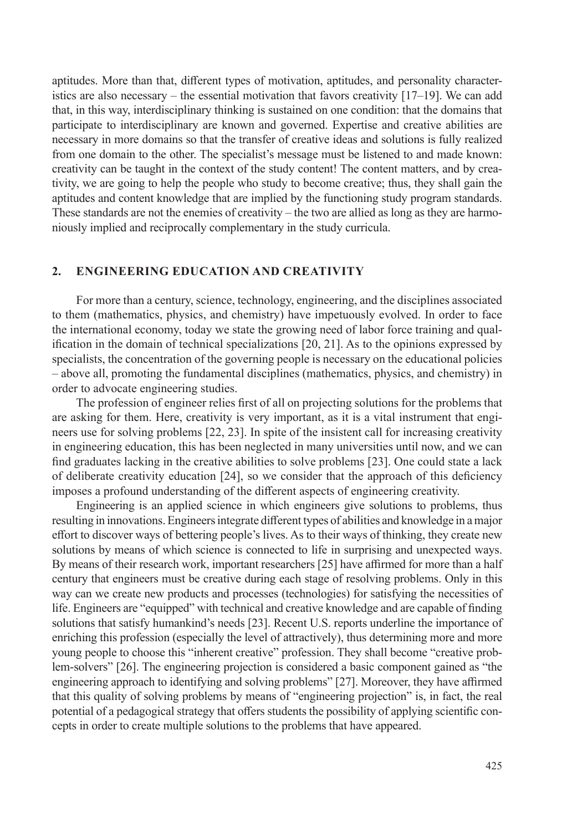aptitudes. More than that, different types of motivation, aptitudes, and personality characteristics are also necessary – the essential motivation that favors creativity  $[17–19]$ . We can add that, in this way, interdisciplinary thinking is sustained on one condition: that the domains that participate to interdisciplinary are known and governed. Expertise and creative abilities are necessary in more domains so that the transfer of creative ideas and solutions is fully realized from one domain to the other. The specialist's message must be listened to and made known: creativity can be taught in the context of the study content! The content matters, and by creativity, we are going to help the people who study to become creative; thus, they shall gain the aptitudes and content knowledge that are implied by the functioning study program standards. These standards are not the enemies of creativity – the two are allied as long as they are harmoniously implied and reciprocally complementary in the study curricula.

### **2. ENGINEERING EDUCATION AND CREATIVITY**

For more than a century, science, technology, engineering, and the disciplines associated to them (mathematics, physics, and chemistry) have impetuously evolved. In order to face the international economy, today we state the growing need of labor force training and qualification in the domain of technical specializations [20, 21]. As to the opinions expressed by specialists, the concentration of the governing people is necessary on the educational policies – above all, promoting the fundamental disciplines (mathematics, physics, and chemistry) in order to advocate engineering studies.

The profession of engineer relies first of all on projecting solutions for the problems that are asking for them. Here, creativity is very important, as it is a vital instrument that engineers use for solving problems [22, 23]. In spite of the insistent call for increasing creativity in engineering education, this has been neglected in many universities until now, and we can find graduates lacking in the creative abilities to solve problems [23]. One could state a lack of deliberate creativity education [24], so we consider that the approach of this deficiency imposes a profound understanding of the different aspects of engineering creativity.

Engineering is an applied science in which engineers give solutions to problems, thus resulting in innovations. Engineers integrate different types of abilities and knowledge in amajor effort to discover ways of bettering people's lives. As to their ways of thinking, they create new solutions by means of which science is connected to life in surprising and unexpected ways. By means of their research work, important researchers [25] have affirmed for more than a half century that engineers must be creative during each stage of resolving problems. Only in this way can we create new products and processes (technologies) for satisfying the necessities of life. Engineers are "equipped" with technical and creative knowledge and are capable of finding solutions that satisfy humankind's needs [23]. Recent U.S. reports underline the importance of enriching this profession (especially the level of attractively), thus determining more and more young people to choose this "inherent creative" profession. They shall become "creative problem-solvers" [26]. The engineering projection is considered a basic component gained as "the engineering approach to identifying and solving problems" [27]. Moreover, they have affirmed that this quality of solving problems by means of "engineering projection" is, in fact, the real potential of a pedagogical strategy that offers students the possibility of applying scientific concepts in order to create multiple solutions to the problems that have appeared.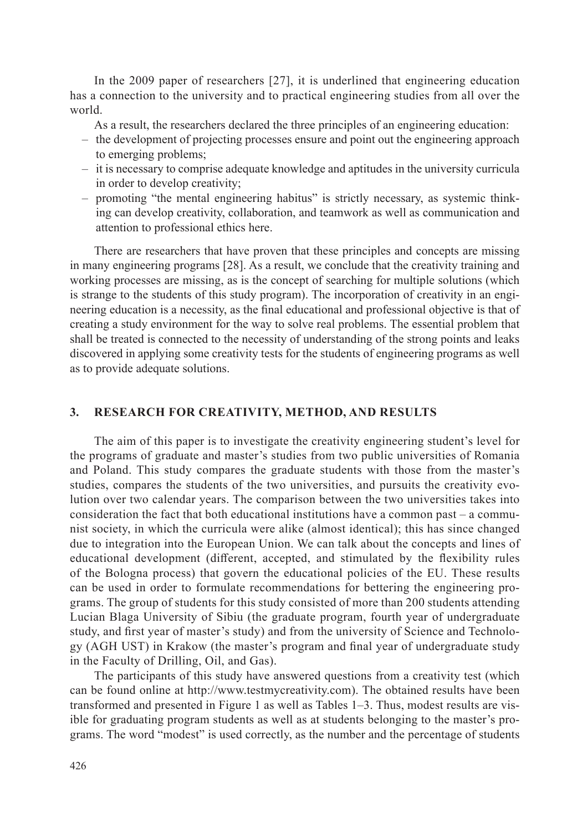In the 2009 paper of researchers [27], it is underlined that engineering education has a connection to the university and to practical engineering studies from all over the world.

As a result, the researchers declared the three principles of an engineering education:

- the development of projecting processes ensure and point out the engineering approach to emerging problems;
- it is necessary to comprise adequate knowledge and aptitudes in the university curricula in order to develop creativity;
- promoting "the mental engineering habitus" is strictly necessary, as systemic thinking can develop creativity, collaboration, and teamwork as well as communication and attention to professional ethics here.

There are researchers that have proven that these principles and concepts are missing in many engineering programs [28]. As a result, we conclude that the creativity training and working processes are missing, as is the concept of searching for multiple solutions (which is strange to the students of this study program). The incorporation of creativity in an engineering education is a necessity, as the final educational and professional objective is that of creating a study environment for the way to solve real problems. The essential problem that shall be treated is connected to the necessity of understanding of the strong points and leaks discovered in applying some creativity tests for the students of engineering programs as well as to provide adequate solutions.

## **3. RESEARCH FOR CREATIVITY, METHOD, AND RESULTS**

The aim of this paper is to investigate the creativity engineering student's level for the programs of graduate and master's studies from two public universities of Romania and Poland. This study compares the graduate students with those from the master's studies, compares the students of the two universities, and pursuits the creativity evolution over two calendar years. The comparison between the two universities takes into consideration the fact that both educational institutions have a common past – a communist society, in which the curricula were alike (almost identical); this has since changed due to integration into the European Union. We can talk about the concepts and lines of educational development (different, accepted, and stimulated by the flexibility rules of the Bologna process) that govern the educational policies of the EU. These results can be used in order to formulate recommendations for bettering the engineering programs. The group of students for this study consisted of more than 200 students attending Lucian Blaga University of Sibiu (the graduate program, fourth year of undergraduate study, and first year of master's study) and from the university of Science and Technology (AGH UST) in Krakow (the master's program and final year of undergraduate study in the Faculty of Drilling, Oil, and Gas).

The participants of this study have answered questions from a creativity test (which can be found online at http://www.testmycreativity.com). The obtained results have been transformed and presented in Figure 1 as well as Tables 1–3. Thus, modest results are visible for graduating program students as well as at students belonging to the master's programs. The word "modest" is used correctly, as the number and the percentage of students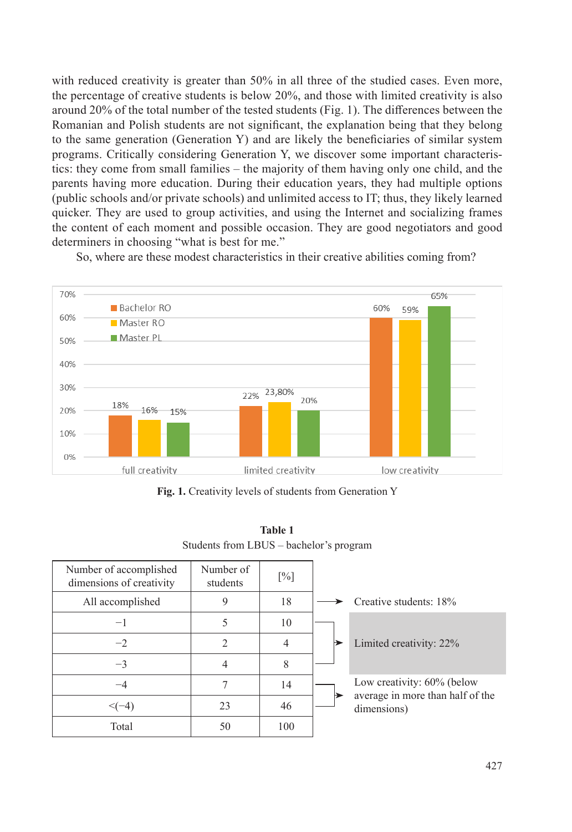with reduced creativity is greater than 50% in all three of the studied cases. Even more, the percentage of creative students is below 20%, and those with limited creativity is also around 20% of the total number of the tested students (Fig. 1). The differences between the Romanian and Polish students are not significant, the explanation being that they belong to the same generation (Generation Y) and are likely the beneficiaries of similar system programs. Critically considering Generation Y, we discover some important characteristics: they come from small families – the majority of them having only one child, and the parents having more education. During their education years, they had multiple options (public schools and/or private schools) and unlimited access to IT; thus, they likely learned quicker. They are used to group activities, and using the Internet and socializing frames the content of each moment and possible occasion. They are good negotiators and good determiners in choosing "what is best for me."

So, where are these modest characteristics in their creative abilities coming from?



**Fig. 1.** Creativity levels of students from Generation Y

| Students from LBUS – bachelor's program            |                       |                   |  |                                                 |  |  |
|----------------------------------------------------|-----------------------|-------------------|--|-------------------------------------------------|--|--|
| Number of accomplished<br>dimensions of creativity | Number of<br>students | $\lceil\% \rceil$ |  |                                                 |  |  |
| All accomplished                                   | 9                     | 18                |  | Creative students: 18%                          |  |  |
| $-1$                                               | 5                     | 10                |  |                                                 |  |  |
| $-2$                                               | $\mathfrak{D}$        | 4                 |  | Limited creativity: 22%                         |  |  |
| $-3$                                               | $\overline{4}$        | 8                 |  |                                                 |  |  |
| $-4$                                               |                       | 14                |  | Low creativity: 60% (below                      |  |  |
| $\leq (-4)$                                        | 23                    | 46                |  | average in more than half of the<br>dimensions) |  |  |
| Total                                              | 50                    | 100               |  |                                                 |  |  |
|                                                    |                       |                   |  |                                                 |  |  |

**Table 1**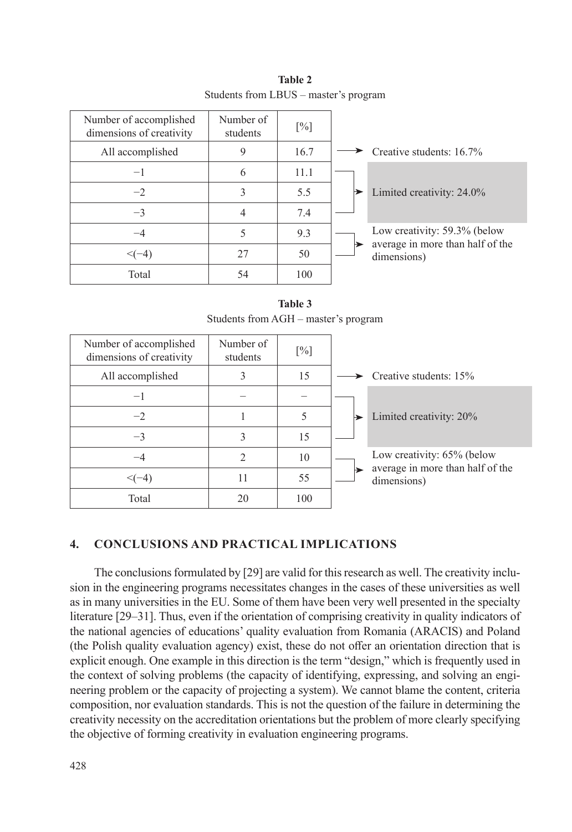| Number of accomplished<br>dimensions of creativity | Number of<br>students | $[\%]$ |                                                 |
|----------------------------------------------------|-----------------------|--------|-------------------------------------------------|
| All accomplished                                   | 9                     | 16.7   | Creative students: 16.7%                        |
| $-1$                                               | 6                     | 11.1   |                                                 |
| $-2$                                               | 3                     | 5.5    | Limited creativity: 24.0%                       |
| $-3$                                               | 4                     | 7.4    |                                                 |
| $-4$                                               | 5                     | 9.3    | Low creativity: 59.3% (below                    |
| $\leq (-4)$                                        | 27                    | 50     | average in more than half of the<br>dimensions) |
| Total                                              | 54                    | 100    |                                                 |

**Table 2** Students from LBUS – master's program

**Table 3** Students from AGH – master's program

| Number of accomplished<br>dimensions of creativity | Number of<br>students         | [%] |                                                 |
|----------------------------------------------------|-------------------------------|-----|-------------------------------------------------|
| All accomplished                                   |                               | 15  | Creative students: 15%                          |
| $-\mathbf{I}$                                      |                               |     |                                                 |
| $-2$                                               |                               |     | Limited creativity: 20%<br>▶                    |
| $-3$                                               | 3                             | 15  |                                                 |
| $-4$                                               | $\mathfrak{D}_{\mathfrak{p}}$ | 10  | Low creativity: 65% (below                      |
| $\leq (-4)$                                        | 11                            | 55  | average in more than half of the<br>dimensions) |
| Total                                              | 20                            | 100 |                                                 |

## **4. CONCLUSIONS AND PRACTICAL IMPLICATIONS**

The conclusions formulated by [29] are valid for this research as well. The creativity inclusion in the engineering programs necessitates changes in the cases of these universities as well as in many universities in the EU. Some of them have been very well presented in the specialty literature [29–31]. Thus, even if the orientation of comprising creativity in quality indicators of the national agencies of educations' quality evaluation from Romania (ARACIS) and Poland (the Polish quality evaluation agency) exist, these do not offer an orientation direction that is explicit enough. One example in this direction is the term "design," which is frequently used in the context of solving problems (the capacity of identifying, expressing, and solving an engineering problem or the capacity of projecting a system). We cannot blame the content, criteria composition, nor evaluation standards. This is not the question of the failure in determining the creativity necessity on the accreditation orientations but the problem of more clearly specifying the objective of forming creativity in evaluation engineering programs.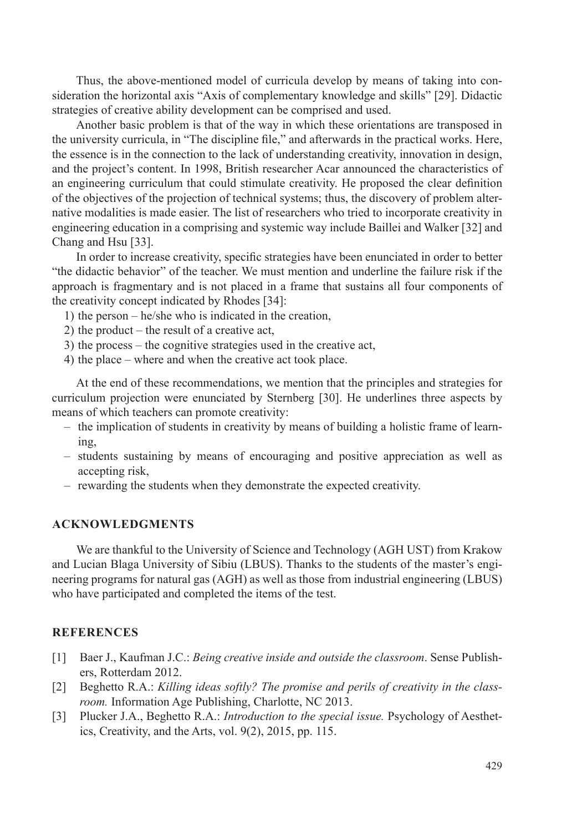Thus, the above-mentioned model of curricula develop by means of taking into consideration the horizontal axis "Axis of complementary knowledge and skills" [29]. Didactic strategies of creative ability development can be comprised and used.

Another basic problem is that of the way in which these orientations are transposed in the university curricula, in "The discipline file," and afterwards in the practical works. Here, the essence is in the connection to the lack of understanding creativity, innovation in design, and the project's content. In 1998, British researcher Acar announced the characteristics of an engineering curriculum that could stimulate creativity. He proposed the clear definition of the objectives of the projection of technical systems; thus, the discovery of problem alternative modalities is made easier. The list of researchers who tried to incorporate creativity in engineering education in a comprising and systemic way include Baillei and Walker [32] and Chang and Hsu [33].

In order to increase creativity, specific strategies have been enunciated in order to better "the didactic behavior" of the teacher. We must mention and underline the failure risk if the approach is fragmentary and is not placed in a frame that sustains all four components of the creativity concept indicated by Rhodes [34]:

- 1) the person he/she who is indicated in the creation,
- 2) the product the result of a creative act,
- 3) the process the cognitive strategies used in the creative act,
- 4) the place where and when the creative act took place.

At the end of these recommendations, we mention that the principles and strategies for curriculum projection were enunciated by Sternberg [30]. He underlines three aspects by means of which teachers can promote creativity:

- the implication of students in creativity by means of building a holistic frame of learning,
- students sustaining by means of encouraging and positive appreciation as well as accepting risk,
- rewarding the students when they demonstrate the expected creativity.

#### **ACKNOWLEDGMENTS**

We are thankful to the University of Science and Technology (AGH UST) from Krakow and Lucian Blaga University of Sibiu (LBUS). Thanks to the students of the master's engineering programs for natural gas (AGH) as well as those from industrial engineering (LBUS) who have participated and completed the items of the test.

#### **REFERENCES**

- [1] Baer J., Kaufman J.C.: *Being creative inside and outside the classroom*. Sense Publishers, Rotterdam 2012.
- [2] Beghetto R.A.: *Killing ideas softly? The promise and perils of creativity in the classroom.* Information Age Publishing, Charlotte, NC 2013.
- [3] Plucker J.A., Beghetto R.A.: *Introduction to the special issue.* Psychology of Aesthetics, Creativity, and the Arts, vol. 9(2), 2015, pp. 115.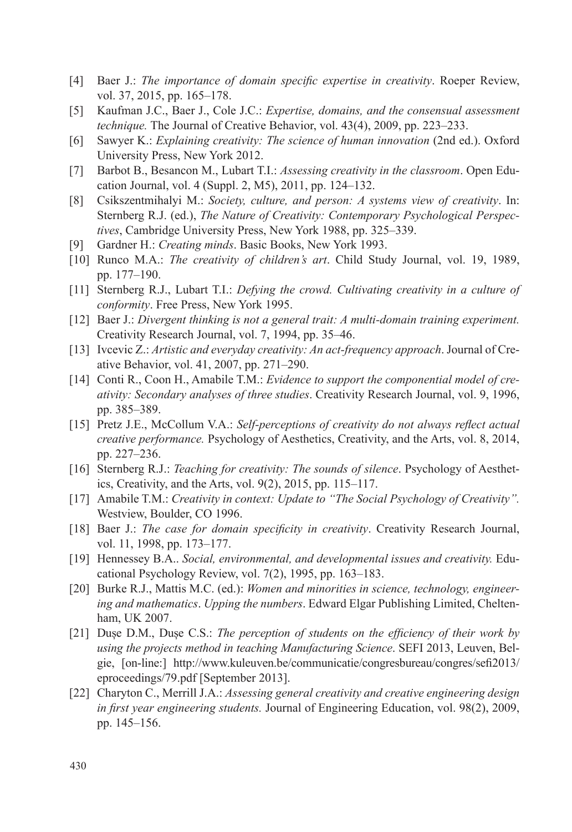- [4] Baer J.: *The importance of domain specific expertise in creativity*. Roeper Review, vol. 37, 2015, pp. 165–178.
- [5] Kaufman J.C., Baer J., Cole J.C.: *Expertise, domains, and the consensual assessment technique.* The Journal of Creative Behavior, vol. 43(4), 2009, pp. 223–233.
- [6] Sawyer K.: *Explaining creativity: The science of human innovation* (2nd ed.). Oxford University Press, New York 2012.
- [7] Barbot B., Besancon M., Lubart T.I.: *Assessing creativity in the classroom*. Open Education Journal, vol. 4 (Suppl. 2, M5), 2011, pp. 124–132.
- [8] Csikszentmihalyi M.: *Society, culture, and person: A systems view of creativity*. In: Sternberg R.J. (ed.), *The Nature of Creativity: Contemporary Psychological Perspectives*, Cambridge University Press, New York 1988, pp. 325–339.
- [9] Gardner H.: *Creating minds*. Basic Books, New York 1993.
- [10] Runco M.A.: *The creativity of children's art*. Child Study Journal, vol. 19, 1989, pp. 177–190.
- [11] Sternberg R.J., Lubart T.I.: *Defying the crowd. Cultivating creativity in a culture of conformity*. Free Press, New York 1995.
- [12] Baer J.: *Divergent thinking is not a general trait: A multi-domain training experiment.* Creativity Research Journal, vol. 7, 1994, pp. 35–46.
- [13] Ivcevic Z.: *Artistic and everyday creativity: An act-frequency approach*. Journal of Creative Behavior, vol. 41, 2007, pp. 271–290.
- [14] Conti R., Coon H., Amabile T.M.: *Evidence to support the componential model of creativity: Secondary analyses of three studies*. Creativity Research Journal, vol. 9, 1996, pp. 385–389.
- [15] Pretz J.E., McCollum V.A.: *Self-perceptions of creativity do not always reflect actual creative performance.* Psychology of Aesthetics, Creativity, and the Arts, vol. 8, 2014, pp. 227–236.
- [16] Sternberg R.J.: *Teaching for creativity: The sounds of silence*. Psychology of Aesthetics, Creativity, and the Arts, vol. 9(2), 2015, pp. 115–117.
- [17] Amabile T.M.: *Creativity in context: Update to "The Social Psychology of Creativity".*  Westview, Boulder, CO 1996.
- [18] Baer J.: *The case for domain specificity in creativity*. Creativity Research Journal, vol. 11, 1998, pp. 173–177.
- [19] Hennessey B.A.. *Social, environmental, and developmental issues and creativity.* Educational Psychology Review, vol. 7(2), 1995, pp. 163–183.
- [20] Burke R.J., Mattis M.C. (ed.): *Women and minorities in science, technology, engineering and mathematics*. *Upping the numbers*. Edward Elgar Publishing Limited, Cheltenham, UK 2007.
- [21] Duse D.M., Duse C.S.: *The perception of students on the efficiency of their work by using the projects method in teaching Manufacturing Science*. SEFI 2013, Leuven, Belgie, [on-line:] [http://www.kuleuven.be/communicatie/congresbureau/congres/sefi2013](http://www.kuleuven.be/communicatie/congresbureau/congres/sefi2013/eproceedings/79.pdf)/ [eproceedings/79.pdf](http://www.kuleuven.be/communicatie/congresbureau/congres/sefi2013/eproceedings/79.pdf) [September 2013].
- [22] Charyton C., Merrill J.A.: *Assessing general creativity and creative engineering design in first year engineering students.* Journal of Engineering Education, vol. 98(2), 2009, pp. 145–156.